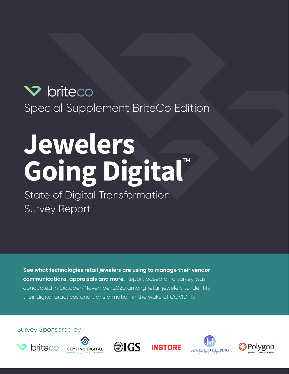# briteco Special Supplement BriteCo Edition

# Jewelers Going Digital™

State of Digital Transformation Survey Report

**See what technologies retail jewelers are using to manage their vendor communications, appraisals and more.** Report based on a survey was conducted in October/November 2020 among retail jewelers to identify their digital practices and transformation in the wake of COVID-19

Survey Sponsored by











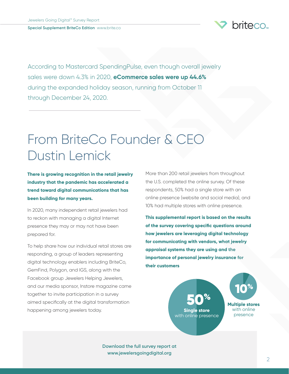

According to Mastercard SpendingPulse, even though overall jewelry sales were down 4.3% in 2020, **eCommerce sales were up 44.6%** during the expanded holiday season, running from October 11 through December 24, 2020.

# From BriteCo Founder & CEO Dustin Lemick

**There is growing recognition in the retail jewelry industry that the pandemic has accelerated a trend toward digital communications that has been building for many years.**

In 2020, many independent retail jewelers had to reckon with managing a digital Internet presence they may or may not have been prepared for.

To help share how our individual retail stores are responding, a group of leaders representing digital technology enablers including BriteCo, GemFind, Polygon, and IGS, along with the Facebook group Jewelers Helping Jewelers, and our media sponsor, Instore magazine came together to invite participation in a survey aimed specifically at the digital transformation happening among jewelers today.

More than 200 retail jewelers from throughout the U.S. completed the online survey. Of these respondents, 50% had a single store with an online presence (website and social media), and 10% had multiple stores with online presence.

**This supplemental report is based on the results of the survey covering specific questions around how jewelers are leveraging digital technology for communicating with vendors, what jewelry appraisal systems they are using and the importance of personal jewelry insurance for their customers**

> 50% **Single store** with online presence

**Multiple stores**  with online presence 10%

**Download the full survey report at [www.jewelersgoingdigital.org](mailto:www.jewelersgoingdigital.org?subject=)**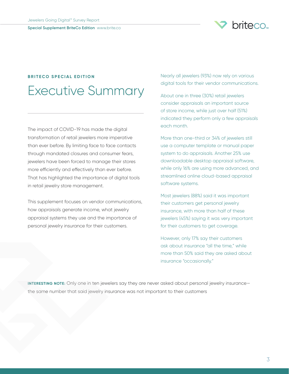

### **BRITECO SPECIAL EDITION** Executive Summary

The impact of COVID-19 has made the digital transformation of retail jewelers more imperative than ever before. By limiting face to face contacts through mandated closures and consumer fears, jewelers have been forced to manage their stores more efficiently and effectively than ever before. That has highlighted the importance of digital tools in retail jewelry store management.

This supplement focuses on vendor communications, how appraisals generate income, what jewelry appraisal systems they use and the importance of personal jewelry insurance for their customers.

Nearly all jewelers (93%) now rely on various digital tools for their vendor communications.

About one in three (30%) retail jewelers consider appraisals an important source of store income, while just over half (51%) indicated they perform only a few appraisals each month.

More than one-third or 34% of jewelers still use a computer template or manual paper system to do appraisals. Another 25% use downloadable desktop appraisal software, while only 16% are using more advanced, and streamlined online cloud-based appraisal software systems.

Most jewelers (88%) said it was important their customers get personal jewelry insurance, with more than half of these jewelers (45%) saying it was very important for their customers to get coverage.

However, only 17% say their customers ask about insurance "all the time," while more than 50% said they are asked about insurance "occasionally."

**INTERESTING NOTE:** Only one in ten jewelers say they are never asked about personal jewelry insurance the same number that said jewelry insurance was not important to their customers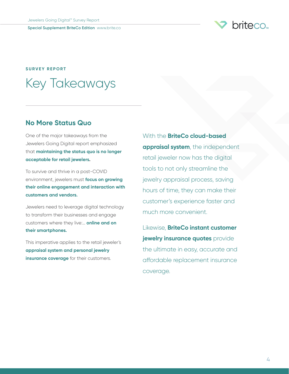

### **SURVEY REPORT** Key Takeaways

#### **No More Status Quo**

One of the major takeaways from the Jewelers Going Digital report emphasized that **maintaining the status quo is no longer acceptable for retail jewelers.**

To survive and thrive in a post-COVID environment, jewelers must **focus on growing their online engagement and interaction with customers and vendors.**

Jewelers need to leverage digital technology to transform their businesses and engage customers where they live:… **online and on their smartphones.**

This imperative applies to the retail jeweler's **appraisal system and personal jewelry insurance coverage** for their customers.

With the **BriteCo cloud-based appraisal system**, the independent retail jeweler now has the digital tools to not only streamline the jewelry appraisal process, saving hours of time, they can make their customer's experience faster and much more convenient.

Likewise, **BriteCo instant customer jewelry insurance quotes** provide the ultimate in easy, accurate and affordable replacement insurance coverage.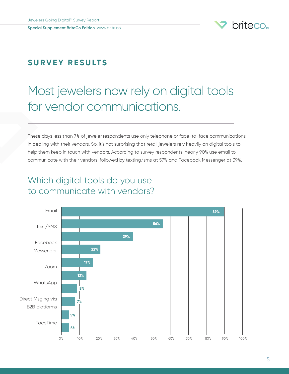

#### **S U R V E Y R E S U LT S**

# Most jewelers now rely on digital tools for vendor communications.

These days less than 7% of jeweler respondents use only telephone or face-to-face communications in dealing with their vendors. So, it's not surprising that retail jewelers rely heavily on digital tools to help them keep in touch with vendors. According to survey respondents, nearly 90% use email to communicate with their vendors, followed by texting/sms at 57% and Facebook Messenger at 39%.

### Which digital tools do you use to communicate with vendors?

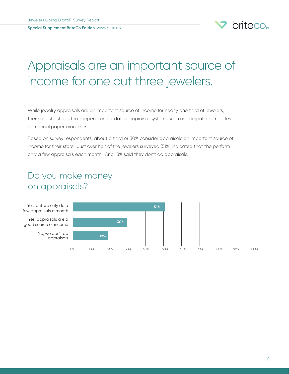

# Appraisals are an important source of income for one out three jewelers.

While jewelry appraisals are an important source of income for nearly one third of jewelers, there are still stores that depend on outdated appraisal systems such as computer templates or manual paper processes.

Based on survey respondents, about a third or 30% consider appraisals an important source of income for their store. Just over half of the jewelers surveyed (51%) indicated that the perform only a few appraisals each month. And 18% said they don't do appraisals.

### Do you make money on appraisals?

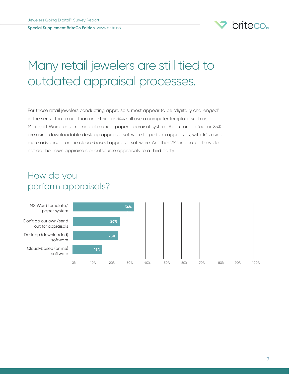

# Many retail jewelers are still tied to outdated appraisal processes.

For those retail jewelers conducting appraisals, most appear to be "digitally challenged" in the sense that more than one-third or 34% still use a computer template such as Microsoft Word, or some kind of manual paper appraisal system. About one in four or 25% are using downloadable desktop appraisal software to perform appraisals, with 16% using more advanced, online cloud-based appraisal software. Another 25% indicated they do not do their own appraisals or outsource appraisals to a third party.

### How do you perform appraisals?

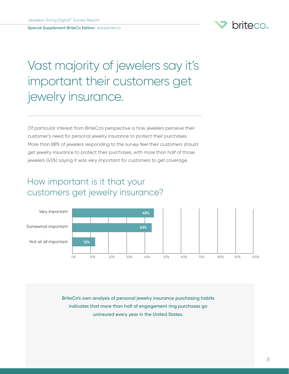

# Vast majority of jewelers say it's important their customers get jewelry insurance.

Of particular interest from BriteCo's perspective is how jewelers perceive their customer's need for personal jewelry insurance to protect their purchases. More than 88% of jewelers responding to the survey feel their customers should get jewelry insurance to protect their purchases, with more than half of those jewelers (45%) saying it was very important for customers to get coverage.

### How important is it that your customers get jewelry insurance?



**BriteCo's own analysis of personal jewelry insurance purchasing habits indicates that more than half of engagement ring purchases go uninsured every year in the United States.**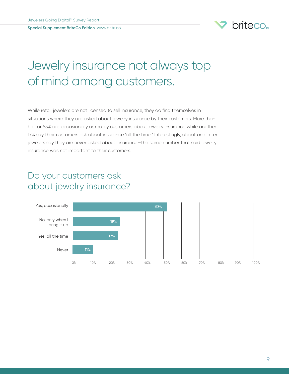

# Jewelry insurance not always top of mind among customers.

While retail jewelers are not licensed to sell insurance, they do find themselves in situations where they are asked about jewelry insurance by their customers. More than half or 53% are occasionally asked by customers about jewelry insurance while another 17% say their customers ask about insurance "all the time." Interestingly, about one in ten jewelers say they are never asked about insurance—the same number that said jewelry insurance was not important to their customers.

### Do your customers ask about jewelry insurance?

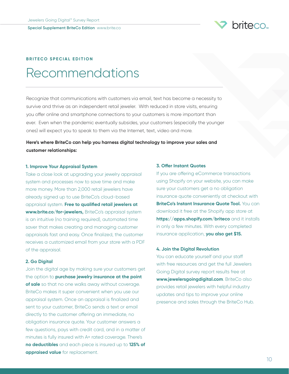

#### **BRITECO SPECIAL EDITION**

## Recommendations

Recognize that communications with customers via email, text has become a necessity to survive and thrive as an independent retail jeweler. With reduced in store visits, ensuring you offer online and smartphone connections to your customers is more important than ever. Even when the pandemic eventually subsides, your customers (especially the younger ones) will expect you to speak to them via the Internet, text, video and more.

**Here's where BriteCo can help you harness digital technology to improve your sales and customer relationships:**

#### **1. Improve Your Appraisal System**

Take a close look at upgrading your jewelry appraisal system and processes now to save time and make more money. More than 2,000 retail jewelers have already signed up to use BriteCo's cloud-based appraisal system. **Free to qualified retail jewelers at [www.brite.co/for-jewelers](http://www.brite.co/for-jewelers),** BriteCo's appraisal system is an intuitive (no training required), automated time saver that makes creating and managing customer appraisals fast and easy. Once finalized, the customer receives a customized email from your store with a PDF of the appraisal.

#### **2. Go Digital**

Join the digital age by making sure your customers get the option to **purchase jewelry insurance at the point of sale** so that no one walks away without coverage. BriteCo makes it super convenient when you use our appraisal system. Once an appraisal is finalized and sent to your customer, BriteCo sends a text or email directly to the customer offering an immediate, no obligation insurance quote. Your customer answers a few questions, pays with credit card, and in a matter of minutes is fully insured with A+ rated coverage. There's **no deductibles** and each piece is insured up to **125% of appraised value** for replacement.

#### **3. Offer Instant Quotes**

If you are offering eCommerce transactions using Shopify on your website, you can make sure your customers get a no obligation insurance quote conveniently at checkout with **BriteCo's Instant Insurance Quote Tool.** You can download it free at the Shopify app store at **<https://apps.shopify.com/briteco>** and it installs in only a few minutes. With every completed insurance application, **you also get \$15.**

#### **4. Join the Digital Revolution**

You can educate yourself and your staff with free resources and get the full Jewelers Going Digital survey report results free at **[www.jewelersgoingdigital.com](http://www.jewelersgoingdigital.com)**. BriteCo also provides retail jewelers with helpful industry updates and tips to improve your online presence and sales through the BriteCo Hub.